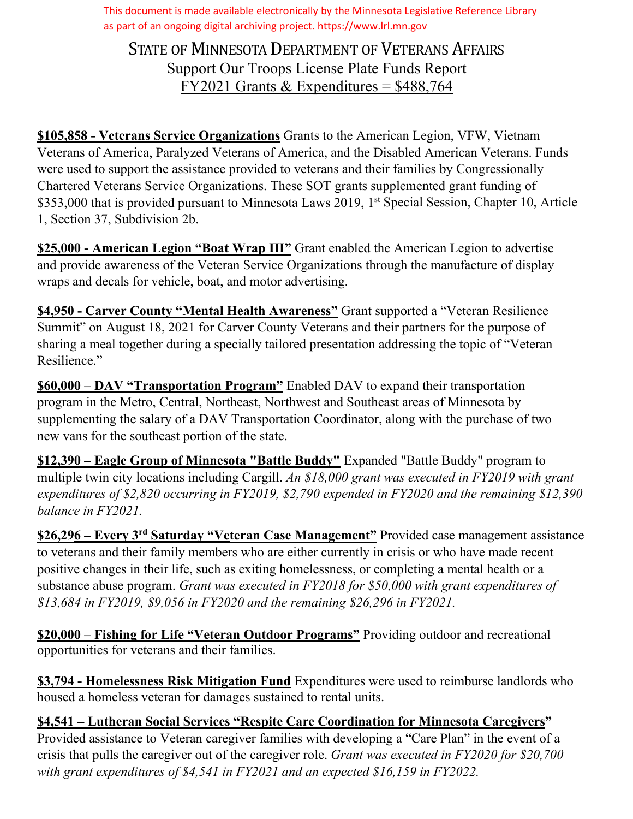This document is made available electronically by the Minnesota Legislative Reference Library as part of an ongoing digital archiving project. https://www.lrl.mn.gov

STATE OF MINNESOTA DEPARTMENT OF VETERANS AFFAIRS Support Our Troops License Plate Funds Report FY2021 Grants & Expenditures =  $$488,764$ 

**\$105,858 ‐ Veterans Service Organizations** Grants to the American Legion, VFW, Vietnam Veterans of America, Paralyzed Veterans of America, and the Disabled American Veterans. Funds were used to support the assistance provided to veterans and their families by Congressionally Chartered Veterans Service Organizations. These SOT grants supplemented grant funding of \$353,000 that is provided pursuant to Minnesota Laws 2019, 1<sup>st</sup> Special Session, Chapter 10, Article 1, Section 37, Subdivision 2b.

**\$25,000 ‐ American Legion "Boat Wrap III"** Grant enabled the American Legion to advertise and provide awareness of the Veteran Service Organizations through the manufacture of display wraps and decals for vehicle, boat, and motor advertising.

**\$4,950 ‐ Carver County "Mental Health Awareness"** Grant supported a "Veteran Resilience Summit" on August 18, 2021 for Carver County Veterans and their partners for the purpose of sharing a meal together during a specially tailored presentation addressing the topic of "Veteran Resilience."

**\$60,000 – DAV "Transportation Program"** Enabled DAV to expand their transportation program in the Metro, Central, Northeast, Northwest and Southeast areas of Minnesota by supplementing the salary of a DAV Transportation Coordinator, along with the purchase of two new vans for the southeast portion of the state.

**\$12,390 – Eagle Group of Minnesota "Battle Buddy"** Expanded "Battle Buddy" program to multiple twin city locations including Cargill. *An \$18,000 grant was executed in FY2019 with grant expenditures of \$2,820 occurring in FY2019, \$2,790 expended in FY2020 and the remaining \$12,390 balance in FY2021.*

**\$26,296 – Every 3rd Saturday "Veteran Case Management"** Provided case management assistance to veterans and their family members who are either currently in crisis or who have made recent positive changes in their life, such as exiting homelessness, or completing a mental health or a substance abuse program. *Grant was executed in FY2018 for \$50,000 with grant expenditures of \$13,684 in FY2019, \$9,056 in FY2020 and the remaining \$26,296 in FY2021.*

**\$20,000 – Fishing for Life "Veteran Outdoor Programs"** Providing outdoor and recreational opportunities for veterans and their families.

**\$3,794 - Homelessness Risk Mitigation Fund** Expenditures were used to reimburse landlords who housed a homeless veteran for damages sustained to rental units.

**\$4,541 – Lutheran Social Services "Respite Care Coordination for Minnesota Caregivers"** Provided assistance to Veteran caregiver families with developing a "Care Plan" in the event of a crisis that pulls the caregiver out of the caregiver role. *Grant was executed in FY2020 for \$20,700 with grant expenditures of \$4,541 in FY2021 and an expected \$16,159 in FY2022.*